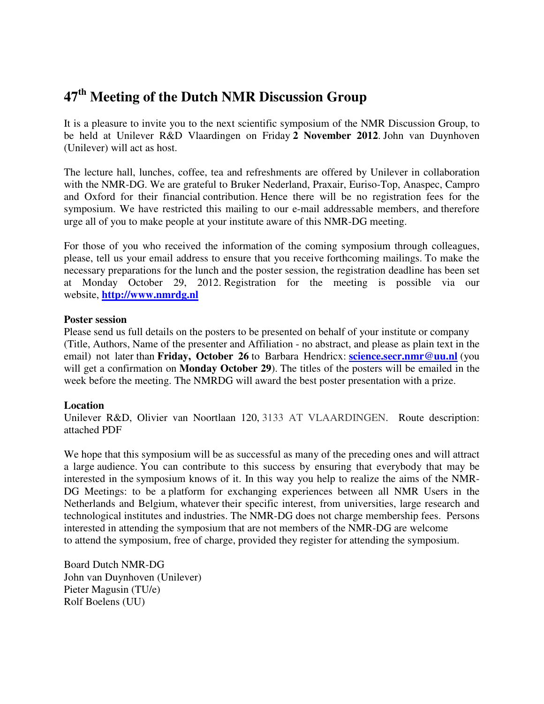## **47th Meeting of the Dutch NMR Discussion Group**

It is a pleasure to invite you to the next scientific symposium of the NMR Discussion Group, to be held at Unilever R&D Vlaardingen on Friday **2 November 2012**. John van Duynhoven (Unilever) will act as host.

The lecture hall, lunches, coffee, tea and refreshments are offered by Unilever in collaboration with the NMR-DG. We are grateful to Bruker Nederland, Praxair, Euriso-Top, Anaspec, Campro and Oxford for their financial contribution. Hence there will be no registration fees for the symposium. We have restricted this mailing to our e-mail addressable members, and therefore urge all of you to make people at your institute aware of this NMR-DG meeting.

For those of you who received the information of the coming symposium through colleagues, please, tell us your email address to ensure that you receive forthcoming mailings. To make the necessary preparations for the lunch and the poster session, the registration deadline has been set at Monday October 29, 2012. Registration for the meeting is possible via our website, **http://www.nmrdg.nl**

### **Poster session**

Please send us full details on the posters to be presented on behalf of your institute or company (Title, Authors, Name of the presenter and Affiliation - no abstract, and please as plain text in the email) not later than **Friday, October 26** to Barbara Hendricx: **science.secr.nmr@uu.nl** (you will get a confirmation on **Monday October 29**). The titles of the posters will be emailed in the week before the meeting. The NMRDG will award the best poster presentation with a prize.

### **Location**

Unilever R&D, Olivier van Noortlaan 120, 3133 AT VLAARDINGEN. Route description: attached PDF

We hope that this symposium will be as successful as many of the preceding ones and will attract a large audience. You can contribute to this success by ensuring that everybody that may be interested in the symposium knows of it. In this way you help to realize the aims of the NMR-DG Meetings: to be a platform for exchanging experiences between all NMR Users in the Netherlands and Belgium, whatever their specific interest, from universities, large research and technological institutes and industries. The NMR-DG does not charge membership fees. Persons interested in attending the symposium that are not members of the NMR-DG are welcome to attend the symposium, free of charge, provided they register for attending the symposium.

Board Dutch NMR-DG John van Duynhoven (Unilever) Pieter Magusin (TU/e) Rolf Boelens (UU)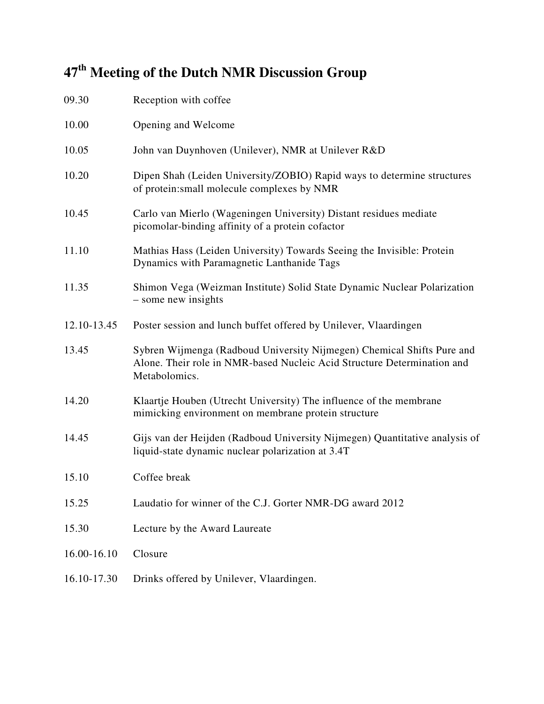# **47th Meeting of the Dutch NMR Discussion Group**

| 09.30       | Reception with coffee                                                                                                                                              |
|-------------|--------------------------------------------------------------------------------------------------------------------------------------------------------------------|
| 10.00       | Opening and Welcome                                                                                                                                                |
| 10.05       | John van Duynhoven (Unilever), NMR at Unilever R&D                                                                                                                 |
| 10.20       | Dipen Shah (Leiden University/ZOBIO) Rapid ways to determine structures<br>of protein: small molecule complexes by NMR                                             |
| 10.45       | Carlo van Mierlo (Wageningen University) Distant residues mediate<br>picomolar-binding affinity of a protein cofactor                                              |
| 11.10       | Mathias Hass (Leiden University) Towards Seeing the Invisible: Protein<br>Dynamics with Paramagnetic Lanthanide Tags                                               |
| 11.35       | Shimon Vega (Weizman Institute) Solid State Dynamic Nuclear Polarization<br>- some new insights                                                                    |
| 12.10-13.45 | Poster session and lunch buffet offered by Unilever, Vlaardingen                                                                                                   |
| 13.45       | Sybren Wijmenga (Radboud University Nijmegen) Chemical Shifts Pure and<br>Alone. Their role in NMR-based Nucleic Acid Structure Determination and<br>Metabolomics. |
| 14.20       | Klaartje Houben (Utrecht University) The influence of the membrane<br>mimicking environment on membrane protein structure                                          |
| 14.45       | Gijs van der Heijden (Radboud University Nijmegen) Quantitative analysis of<br>liquid-state dynamic nuclear polarization at 3.4T                                   |
| 15.10       | Coffee break                                                                                                                                                       |
| 15.25       | Laudatio for winner of the C.J. Gorter NMR-DG award 2012                                                                                                           |
| 15.30       | Lecture by the Award Laureate                                                                                                                                      |
| 16.00-16.10 | Closure                                                                                                                                                            |
| 16.10-17.30 | Drinks offered by Unilever, Vlaardingen.                                                                                                                           |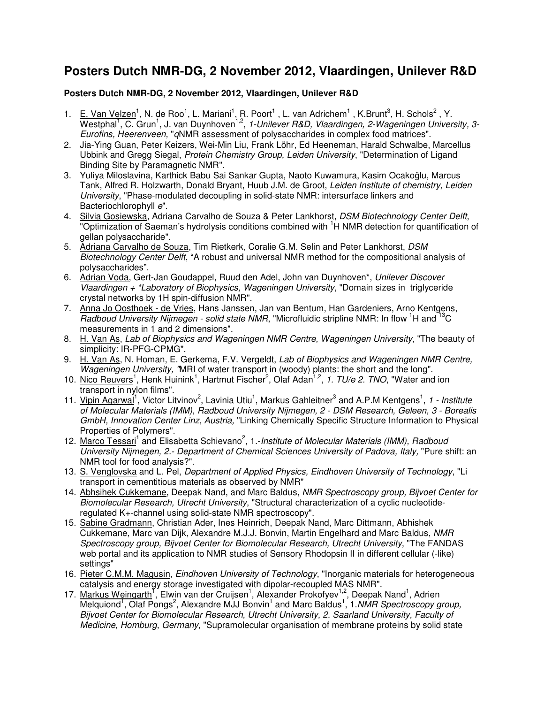### **Posters Dutch NMR-DG, 2 November 2012, Vlaardingen, Unilever R&D**

#### **Posters Dutch NMR-DG, 2 November 2012, Vlaardingen, Unilever R&D**

- 1. E. Van Velzen<sup>1</sup>, N. de Roo<sup>1</sup>, L. Mariani<sup>1</sup>, R. Poort<sup>1</sup>, L. van Adrichem<sup>1</sup>, K.Brunt<sup>3</sup>, H. Schols<sup>2</sup>, Y. Westphal<sup>1</sup>, C. Grun<sup>1</sup>, J. van Duynhoven<sup>1,2</sup>, 1-Unilever R&D, Vlaardingen, 2-Wageningen University, 3-Eurofins, Heerenveen, "qNMR assessment of polysaccharides in complex food matrices".
- 2. Jia-Ying Guan, Peter Keizers, Wei-Min Liu, Frank Löhr, Ed Heeneman, Harald Schwalbe, Marcellus Ubbink and Gregg Siegal, Protein Chemistry Group, Leiden University, "Determination of Ligand Binding Site by Paramagnetic NMR".
- 3. Yuliya Miloslavina, Karthick Babu Sai Sankar Gupta, Naoto Kuwamura, Kasim Ocakoğlu, Marcus Tank, Alfred R. Holzwarth, Donald Bryant, Huub J.M. de Groot, Leiden Institute of chemistry, Leiden University, "Phase-modulated decoupling in solid-state NMR: intersurface linkers and Bacteriochlorophyll e".
- 4. Silvia Gosiewska, Adriana Carvalho de Souza & Peter Lankhorst, DSM Biotechnology Center Delft, "Optimization of Saeman's hydrolysis conditions combined with <sup>1</sup>H NMR detection for quantification of gellan polysaccharide".
- 5. Adriana Carvalho de Souza, Tim Rietkerk, Coralie G.M. Selin and Peter Lankhorst, DSM Biotechnology Center Delft, "A robust and universal NMR method for the compositional analysis of polysaccharides".
- 6. Adrian Voda, Gert-Jan Goudappel, Ruud den Adel, John van Duynhoven\*, Unilever Discover Vlaardingen + \*Laboratory of Biophysics, Wageningen University, "Domain sizes in triglyceride crystal networks by 1H spin-diffusion NMR".
- 7. Anna Jo Oosthoek de Vries, Hans Janssen, Jan van Bentum, Han Gardeniers, Arno Kentgens, Radboud University Nijmegen - solid state NMR, "Microfluidic stripline NMR: In flow <sup>1</sup>H and <sup>13</sup>C measurements in 1 and 2 dimensions".
- 8. H. Van As, Lab of Biophysics and Wageningen NMR Centre, Wageningen University, "The beauty of simplicity: IR-PFG-CPMG".
- 9. H. Van As, N. Homan, E. Gerkema, F.V. Vergeldt, Lab of Biophysics and Wageningen NMR Centre, Wageningen University, "MRI of water transport in (woody) plants: the short and the long".
- 10. Nico Reuvers<sup>1</sup>, Henk Huinink<sup>1</sup>, Hartmut Fischer<sup>2</sup>, Olaf Adan<sup>1,2</sup>, 1. TU/e 2. TNO, "Water and ion transport in nylon films".
- 11. Vipin Agarwal<sup>1</sup>, Victor Litvinov<sup>2</sup>, Lavinia Utiu<sup>1</sup>, Markus Gahleitner<sup>3</sup> and A.P.M Kentgens<sup>1</sup>, 1 Institute of Molecular Materials (IMM), Radboud University Nijmegen, 2 - DSM Research, Geleen, 3 - Borealis GmbH, Innovation Center Linz, Austria, "Linking Chemically Specific Structure Information to Physical Properties of Polymers".
- 12. Marco Tessari<sup>1</sup> and Elisabetta Schievano<sup>2</sup>, 1.-Institute of Molecular Materials (IMM), Radboud University Nijmegen, 2.- Department of Chemical Sciences University of Padova, Italy, "Pure shift: an NMR tool for food analysis?".
- 13. S. Venglovska and L. Pel, Department of Applied Physics, Eindhoven University of Technology, "Li transport in cementitious materials as observed by NMR"
- 14. Abhsihek Cukkemane, Deepak Nand, and Marc Baldus, NMR Spectroscopy group, Bijvoet Center for Biomolecular Research, Utrecht University, "Structural characterization of a cyclic nucleotideregulated K+-channel using solid-state NMR spectroscopy".
- 15. Sabine Gradmann, Christian Ader, Ines Heinrich, Deepak Nand, Marc Dittmann, Abhishek Cukkemane, Marc van Dijk, Alexandre M.J.J. Bonvin, Martin Engelhard and Marc Baldus, NMR Spectroscopy group, Bijvoet Center for Biomolecular Research, Utrecht University, "The FANDAS web portal and its application to NMR studies of Sensory Rhodopsin II in different cellular (-like) settings"
- 16. Pieter C.M.M. Magusin, *Eindhoven University of Technology*, "Inorganic materials for heterogeneous catalysis and energy storage investigated with dipolar-recoupled MAS NMR".
- 17. Markus Weingarth<sup>1</sup>, Elwin van der Cruijsen<sup>1</sup>, Alexander Prokofyev<sup>1,2</sup>, Deepak Nand<sup>1</sup>, Adrien Melquiond<sup>1</sup>, Olaf Pongs<sup>2</sup>, Alexandre MJJ Bonvin<sup>1</sup> and Marc Baldus<sup>1</sup>, 1.NMR Spectroscopy group, Bijvoet Center for Biomolecular Research, Utrecht University, 2. Saarland University, Faculty of Medicine, Homburg, Germany, "Supramolecular organisation of membrane proteins by solid state